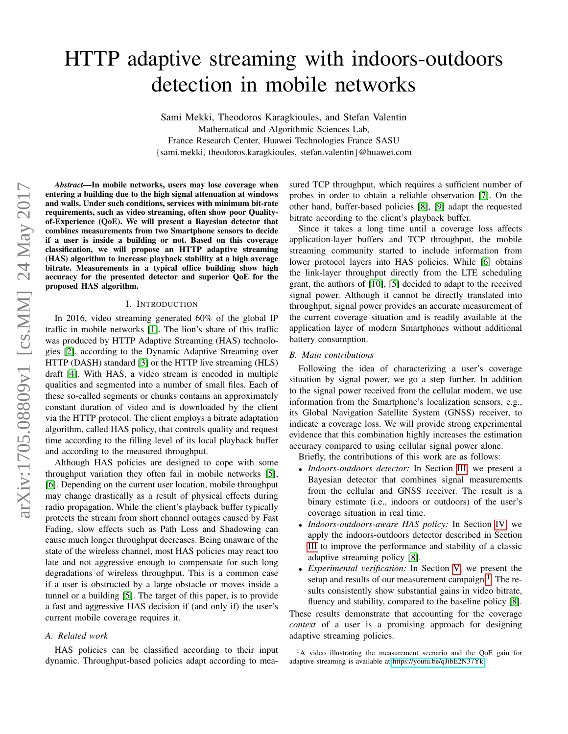# HTTP adaptive streaming with indoors-outdoors detection in mobile networks

Sami Mekki, Theodoros Karagkioules, and Stefan Valentin Mathematical and Algorithmic Sciences Lab, France Research Center, Huawei Technologies France SASU {sami.mekki, theodoros.karagkioules, stefan.valentin}@huawei.com

*Abstract*—In mobile networks, users may lose coverage when entering a building due to the high signal attenuation at windows and walls. Under such conditions, services with minimum bit-rate requirements, such as video streaming, often show poor Qualityof-Experience (QoE). We will present a Bayesian detector that combines measurements from two Smartphone sensors to decide if a user is inside a building or not. Based on this coverage classification, we will propose an HTTP adaptive streaming (HAS) algorithm to increase playback stability at a high average bitrate. Measurements in a typical office building show high accuracy for the presented detector and superior QoE for the proposed HAS algorithm.

# I. INTRODUCTION

In 2016, video streaming generated 60% of the global IP traffic in mobile networks [\[1\]](#page-5-0). The lion's share of this traffic was produced by HTTP Adaptive Streaming (HAS) technologies [\[2\]](#page-5-1), according to the Dynamic Adaptive Streaming over HTTP (DASH) standard [\[3\]](#page-5-2) or the HTTP live streaming (HLS) draft [\[4\]](#page-5-3). With HAS, a video stream is encoded in multiple qualities and segmented into a number of small files. Each of these so-called segments or chunks contains an approximately constant duration of video and is downloaded by the client via the HTTP protocol. The client employs a bitrate adaptation algorithm, called HAS policy, that controls quality and request time according to the filling level of its local playback buffer and according to the measured throughput.

Although HAS policies are designed to cope with some throughput variation they often fail in mobile networks [\[5\]](#page-5-4), [\[6\]](#page-5-5). Depending on the current user location, mobile throughput may change drastically as a result of physical effects during radio propagation. While the client's playback buffer typically protects the stream from short channel outages caused by Fast Fading, slow effects such as Path Loss and Shadowing can cause much longer throughput decreases. Being unaware of the state of the wireless channel, most HAS policies may react too late and not aggressive enough to compensate for such long degradations of wireless throughput. This is a common case if a user is obstructed by a large obstacle or moves inside a tunnel or a building [\[5\]](#page-5-4). The target of this paper, is to provide a fast and aggressive HAS decision if (and only if) the user's current mobile coverage requires it.

# *A. Related work*

HAS policies can be classified according to their input dynamic. Throughput-based policies adapt according to measured TCP throughput, which requires a sufficient number of probes in order to obtain a reliable observation [\[7\]](#page-5-6). On the other hand, buffer-based policies [\[8\]](#page-5-7), [\[9\]](#page-5-8) adapt the requested bitrate according to the client's playback buffer.

Since it takes a long time until a coverage loss affects application-layer buffers and TCP throughput, the mobile streaming community started to include information from lower protocol layers into HAS policies. While [\[6\]](#page-5-5) obtains the link-layer throughput directly from the LTE scheduling grant, the authors of [\[10\]](#page-5-9), [\[5\]](#page-5-4) decided to adapt to the received signal power. Although it cannot be directly translated into throughput, signal power provides an accurate measurement of the current coverage situation and is readily available at the application layer of modern Smartphones without additional battery consumption.

## *B. Main contributions*

Following the idea of characterizing a user's coverage situation by signal power, we go a step further. In addition to the signal power received from the cellular modem, we use information from the Smartphone's localization sensors, e.g., its Global Navigation Satellite System (GNSS) receiver, to indicate a coverage loss. We will provide strong experimental evidence that this combination highly increases the estimation accuracy compared to using cellular signal power alone.

Briefly, the contributions of this work are as follows:

- *Indoors-outdoors detector:* In Section [III,](#page-1-0) we present a Bayesian detector that combines signal measurements from the cellular and GNSS receiver. The result is a binary estimate (i.e., indoors or outdoors) of the user's coverage situation in real time.
- *Indoors-outdoors-aware HAS policy:* In Section [IV,](#page-2-0) we apply the indoors-outdoors detector described in Section [III](#page-1-0) to improve the performance and stability of a classic adaptive streaming policy [\[8\]](#page-5-7).
- *Experimental verification:* In Section [V,](#page-3-0) we present the setup and results of our measurement campaign.<sup>[1](#page-0-0)</sup>. The results consistently show substantial gains in video bitrate, fluency and stability, compared to the baseline policy [\[8\]](#page-5-7).

These results demonstrate that accounting for the coverage *context* of a user is a promising approach for designing adaptive streaming policies.

<span id="page-0-0"></span><sup>1</sup>A video illustrating the measurement scenario and the QoE gain for adaptive streaming is available at [https://youtu.be/qJibE2N37Yk.](https://youtu.be/qJibE2N37Yk)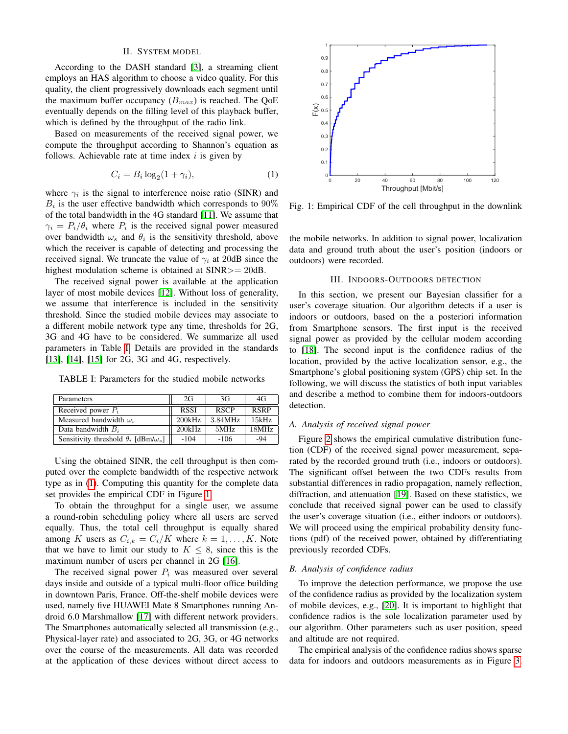## II. SYSTEM MODEL

According to the DASH standard [\[3\]](#page-5-2), a streaming client employs an HAS algorithm to choose a video quality. For this quality, the client progressively downloads each segment until the maximum buffer occupancy  $(B_{max})$  is reached. The QoE eventually depends on the filling level of this playback buffer, which is defined by the throughput of the radio link.

Based on measurements of the received signal power, we compute the throughput according to Shannon's equation as follows. Achievable rate at time index  $i$  is given by

<span id="page-1-2"></span>
$$
C_i = B_i \log_2(1 + \gamma_i),\tag{1}
$$

where  $\gamma_i$  is the signal to interference noise ratio (SINR) and  $B_i$  is the user effective bandwidth which corresponds to  $90\%$ of the total bandwidth in the 4G standard [\[11\]](#page-5-10). We assume that  $\gamma_i = P_i/\theta_i$  where  $P_i$  is the received signal power measured over bandwidth  $\omega_s$  and  $\theta_i$  is the sensitivity threshold, above which the receiver is capable of detecting and processing the received signal. We truncate the value of  $\gamma_i$  at 20dB since the highest modulation scheme is obtained at SINR>= 20dB.

The received signal power is available at the application layer of most mobile devices [\[12\]](#page-5-11). Without loss of generality, we assume that interference is included in the sensitivity threshold. Since the studied mobile devices may associate to a different mobile network type any time, thresholds for 2G, 3G and 4G have to be considered. We summarize all used parameters in Table [I.](#page-1-1) Details are provided in the standards [\[13\]](#page-5-12), [\[14\]](#page-5-13), [\[15\]](#page-5-14) for 2G, 3G and 4G, respectively.

TABLE I: Parameters for the studied mobile networks

<span id="page-1-1"></span>

| Parameters                                          | 2G          | 3G          | 4G          |
|-----------------------------------------------------|-------------|-------------|-------------|
| Received power $P_i$                                | <b>RSSI</b> | <b>RSCP</b> | <b>RSRP</b> |
| Measured bandwidth $\omega$ .                       | 200kHz      | 3.84MHz     | 15kHz       |
| Data bandwidth $B_i$                                | 200kHz      | 5MHz        | 18MHz       |
| Sensitivity threshold $\theta_i$ [dBm/ $\omega_s$ ] | $-104$      | $-106$      | -94         |

Using the obtained SINR, the cell throughput is then computed over the complete bandwidth of the respective network type as in [\(1\)](#page-1-2). Computing this quantity for the complete data set provides the empirical CDF in Figure [1.](#page-1-3)

To obtain the throughput for a single user, we assume a round-robin scheduling policy where all users are served equally. Thus, the total cell throughput is equally shared among K users as  $C_{i,k} = C_i/K$  where  $k = 1, \ldots, K$ . Note that we have to limit our study to  $K \leq 8$ , since this is the maximum number of users per channel in 2G [\[16\]](#page-5-15).

The received signal power  $P_i$  was measured over several days inside and outside of a typical multi-floor office building in downtown Paris, France. Off-the-shelf mobile devices were used, namely five HUAWEI Mate 8 Smartphones running Android 6.0 Marshmallow [\[17\]](#page-5-16) with different network providers. The Smartphones automatically selected all transmission (e.g., Physical-layer rate) and associated to 2G, 3G, or 4G networks over the course of the measurements. All data was recorded at the application of these devices without direct access to

<span id="page-1-3"></span>

Fig. 1: Empirical CDF of the cell throughput in the downlink

the mobile networks. In addition to signal power, localization data and ground truth about the user's position (indoors or outdoors) were recorded.

#### III. INDOORS-OUTDOORS DETECTION

<span id="page-1-0"></span>In this section, we present our Bayesian classifier for a user's coverage situation. Our algorithm detects if a user is indoors or outdoors, based on the a posteriori information from Smartphone sensors. The first input is the received signal power as provided by the cellular modem according to [\[18\]](#page-5-17). The second input is the confidence radius of the location, provided by the active localization sensor, e.g., the Smartphone's global positioning system (GPS) chip set. In the following, we will discuss the statistics of both input variables and describe a method to combine them for indoors-outdoors detection.

#### *A. Analysis of received signal power*

Figure [2](#page-2-1) shows the empirical cumulative distribution function (CDF) of the received signal power measurement, separated by the recorded ground truth (i.e., indoors or outdoors). The significant offset between the two CDFs results from substantial differences in radio propagation, namely reflection, diffraction, and attenuation [\[19\]](#page-5-18). Based on these statistics, we conclude that received signal power can be used to classify the user's coverage situation (i.e., either indoors or outdoors). We will proceed using the empirical probability density functions (pdf) of the received power, obtained by differentiating previously recorded CDFs.

#### *B. Analysis of confidence radius*

To improve the detection performance, we propose the use of the confidence radius as provided by the localization system of mobile devices, e.g., [\[20\]](#page-5-19). It is important to highlight that confidence radios is the sole localization parameter used by our algorithm. Other parameters such as user position, speed and altitude are not required.

The empirical analysis of the confidence radius shows sparse data for indoors and outdoors measurements as in Figure [3.](#page-2-2)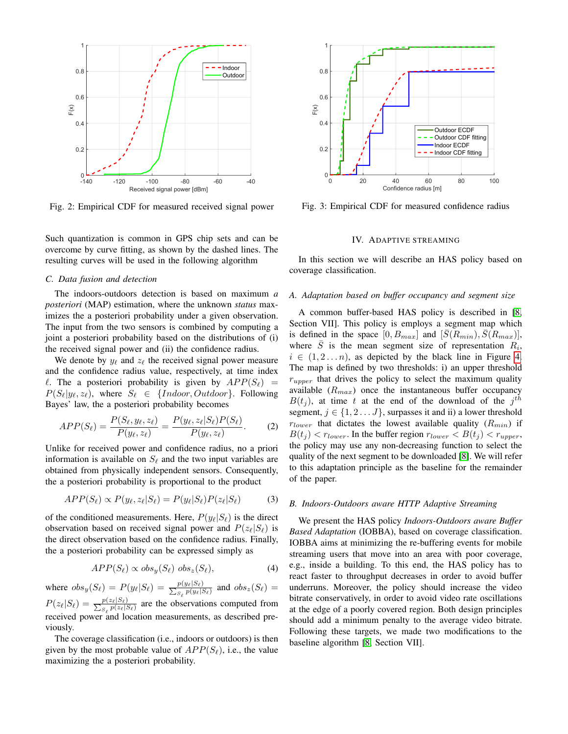<span id="page-2-1"></span>

Fig. 2: Empirical CDF for measured received signal power

Such quantization is common in GPS chip sets and can be overcome by curve fitting, as shown by the dashed lines. The resulting curves will be used in the following algorithm

#### *C. Data fusion and detection*

The indoors-outdoors detection is based on maximum *a posteriori* (MAP) estimation, where the unknown *status* maximizes the a posteriori probability under a given observation. The input from the two sensors is combined by computing a joint a posteriori probability based on the distributions of (i) the received signal power and (ii) the confidence radius.

We denote by  $y_\ell$  and  $z_\ell$  the received signal power measure and the confidence radius value, respectively, at time index  $\ell$ . The a posteriori probability is given by  $APP(S_{\ell})$  $P(S_{\ell}|y_{\ell}, z_{\ell})$ , where  $S_{\ell} \in \{Indoor, Outdoor\}$ . Following Bayes' law, the a posteriori probability becomes

$$
APP(S_{\ell}) = \frac{P(S_{\ell}, y_{\ell}, z_{\ell})}{P(y_{\ell}, z_{\ell})} = \frac{P(y_{\ell}, z_{\ell} | S_{\ell}) P(S_{\ell})}{P(y_{\ell}, z_{\ell})}.
$$
 (2)

Unlike for received power and confidence radius, no a priori information is available on  $S_\ell$  and the two input variables are obtained from physically independent sensors. Consequently, the a posteriori probability is proportional to the product

$$
APP(S_{\ell}) \propto P(y_{\ell}, z_{\ell} | S_{\ell}) = P(y_{\ell} | S_{\ell}) P(z_{\ell} | S_{\ell}) \tag{3}
$$

of the conditioned measurements. Here,  $P(y_\ell|S_\ell)$  is the direct observation based on received signal power and  $P(z_{\ell}|S_{\ell})$  is the direct observation based on the confidence radius. Finally, the a posteriori probability can be expressed simply as

$$
APP(S_{\ell}) \propto obs_y(S_{\ell}) \; obs_z(S_{\ell}), \tag{4}
$$

where  $obs_y(S_\ell) = P(y_\ell|S_\ell) = \frac{p(y_\ell|S_\ell)}{\sum_{S_\ell} p(y_\ell|S_\ell)}$  and  $obs_z(S_\ell) =$  $P(z_\ell|S_\ell) = \frac{p(z_\ell|S_\ell)}{\sum_{S_\ell} p(z_\ell|S_\ell)}$  are the observations computed from received power and location measurements, as described previously.

The coverage classification (i.e., indoors or outdoors) is then given by the most probable value of  $APP(S_{\ell})$ , i.e., the value maximizing the a posteriori probability.

<span id="page-2-2"></span>

Fig. 3: Empirical CDF for measured confidence radius

## IV. ADAPTIVE STREAMING

<span id="page-2-0"></span>In this section we will describe an HAS policy based on coverage classification.

## *A. Adaptation based on buffer occupancy and segment size*

A common buffer-based HAS policy is described in [\[8,](#page-5-7) Section VII]. This policy is employs a segment map which is defined in the space  $[0, B_{max}]$  and  $[\bar{S}(R_{min}), \bar{S}(R_{max})]$ , where  $\overline{S}$  is the mean segment size of representation  $R_i$ ,  $i \in (1, 2...n)$ , as depicted by the black line in Figure [4.](#page-3-1) The map is defined by two thresholds: i) an upper threshold  $r_{\text{upper}}$  that drives the policy to select the maximum quality available  $(R_{max})$  once the instantaneous buffer occupancy  $B(t_j)$ , at time t at the end of the download of the  $j<sup>th</sup>$ segment,  $j \in \{1, 2 \dots J\}$ , surpasses it and ii) a lower threshold  $r_{lower}$  that dictates the lowest available quality  $(R_{min})$  if  $B(t_i) < r_{lower}$ . In the buffer region  $r_{lower} < B(t_i) < r_{upper}$ , the policy may use any non-decreasing function to select the quality of the next segment to be downloaded [\[8\]](#page-5-7). We will refer to this adaptation principle as the baseline for the remainder of the paper.

#### *B. Indoors-Outdoors aware HTTP Adaptive Streaming*

We present the HAS policy *Indoors-Outdoors aware Buffer Based Adaptation* (IOBBA), based on coverage classification. IOBBA aims at minimizing the re-buffering events for mobile streaming users that move into an area with poor coverage, e.g., inside a building. To this end, the HAS policy has to react faster to throughput decreases in order to avoid buffer underruns. Moreover, the policy should increase the video bitrate conservatively, in order to avoid video rate oscillations at the edge of a poorly covered region. Both design principles should add a minimum penalty to the average video bitrate. Following these targets, we made two modifications to the baseline algorithm [\[8,](#page-5-7) Section VII].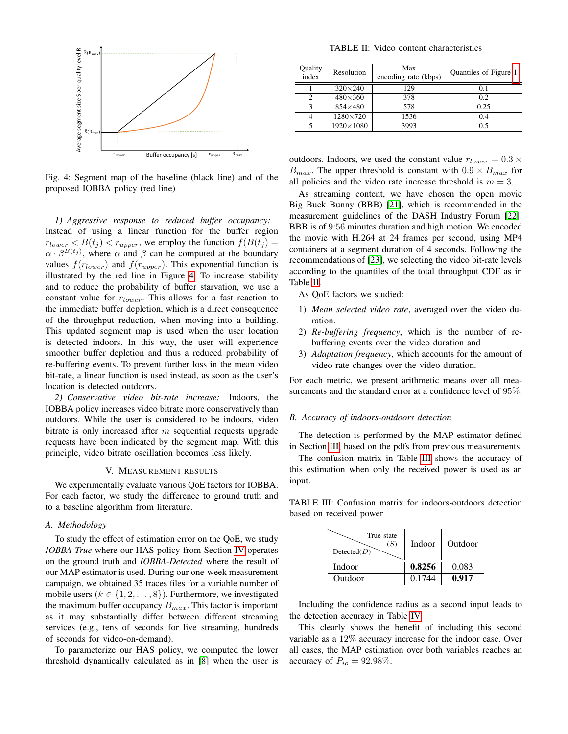<span id="page-3-1"></span>

Fig. 4: Segment map of the baseline (black line) and of the proposed IOBBA policy (red line)

*1) Aggressive response to reduced buffer occupancy:* Instead of using a linear function for the buffer region  $r_{lower} < B(t_j) < r_{upper}$ , we employ the function  $f(B(t_j)) =$  $\alpha \cdot \beta^{B(t_j)}$ , where  $\alpha$  and  $\beta$  can be computed at the boundary values  $f(r_{lower})$  and  $f(r_{upper})$ . This exponential function is illustrated by the red line in Figure [4.](#page-3-1) To increase stability and to reduce the probability of buffer starvation, we use a constant value for  $r_{lower}$ . This allows for a fast reaction to the immediate buffer depletion, which is a direct consequence of the throughput reduction, when moving into a building. This updated segment map is used when the user location is detected indoors. In this way, the user will experience smoother buffer depletion and thus a reduced probability of re-buffering events. To prevent further loss in the mean video bit-rate, a linear function is used instead, as soon as the user's location is detected outdoors.

*2) Conservative video bit-rate increase:* Indoors, the IOBBA policy increases video bitrate more conservatively than outdoors. While the user is considered to be indoors, video bitrate is only increased after  $m$  sequential requests upgrade requests have been indicated by the segment map. With this principle, video bitrate oscillation becomes less likely.

#### V. MEASUREMENT RESULTS

<span id="page-3-0"></span>We experimentally evaluate various QoE factors for IOBBA. For each factor, we study the difference to ground truth and to a baseline algorithm from literature.

## *A. Methodology*

To study the effect of estimation error on the QoE, we study *IOBBA-True* where our HAS policy from Section [IV](#page-2-0) operates on the ground truth and *IOBBA-Detected* where the result of our MAP estimator is used. During our one-week measurement campaign, we obtained 35 traces files for a variable number of mobile users ( $k \in \{1, 2, \ldots, 8\}$ ). Furthermore, we investigated the maximum buffer occupancy  $B_{max}$ . This factor is important as it may substantially differ between different streaming services (e.g., tens of seconds for live streaming, hundreds of seconds for video-on-demand).

To parameterize our HAS policy, we computed the lower threshold dynamically calculated as in [\[8\]](#page-5-7) when the user is

TABLE II: Video content characteristics

<span id="page-3-2"></span>

| Quality<br>index | Resolution         | Max<br>encoding rate (kbps) | Quantiles of Figure 1 |
|------------------|--------------------|-----------------------------|-----------------------|
|                  | $320\times240$     | 129                         | 0.1                   |
| っ                | $480\times360$     | 378                         | 0.2                   |
| 3                | $854\times480$     | 578                         | 0.25                  |
|                  | $1280 \times 720$  | 1536                        | 0.4                   |
|                  | $1920 \times 1080$ | 3993                        | 0.5                   |

outdoors. Indoors, we used the constant value  $r_{lower} = 0.3 \times$  $B_{max}$ . The upper threshold is constant with  $0.9 \times B_{max}$  for all policies and the video rate increase threshold is  $m = 3$ .

As streaming content, we have chosen the open movie Big Buck Bunny (BBB) [\[21\]](#page-5-20), which is recommended in the measurement guidelines of the DASH Industry Forum [\[22\]](#page-5-21). BBB is of 9:56 minutes duration and high motion. We encoded the movie with H.264 at 24 frames per second, using MP4 containers at a segment duration of 4 seconds. Following the recommendations of [\[23\]](#page-5-22), we selecting the video bit-rate levels according to the quantiles of the total throughput CDF as in Table [II.](#page-3-2)

As QoE factors we studied:

- 1) *Mean selected video rate*, averaged over the video duration.
- 2) *Re-buffering frequency*, which is the number of rebuffering events over the video duration and
- 3) *Adaptation frequency*, which accounts for the amount of video rate changes over the video duration.

For each metric, we present arithmetic means over all measurements and the standard error at a confidence level of 95%.

#### *B. Accuracy of indoors-outdoors detection*

The detection is performed by the MAP estimator defined in Section [III,](#page-1-0) based on the pdfs from previous measurements.

The confusion matrix in Table [III](#page-3-3) shows the accuracy of this estimation when only the received power is used as an input.

| True state<br>(S)<br>Detected(D) | Indoor | Outdoor |
|----------------------------------|--------|---------|
| Indoor                           | 0.8256 | 0.083   |
| Outdoor                          | 0.1744 | 0.917   |

<span id="page-3-3"></span>TABLE III: Confusion matrix for indoors-outdoors detection based on received power

Including the confidence radius as a second input leads to the detection accuracy in Table [IV.](#page-4-0)

This clearly shows the benefit of including this second variable as a 12% accuracy increase for the indoor case. Over all cases, the MAP estimation over both variables reaches an accuracy of  $P_{io} = 92.98\%$ .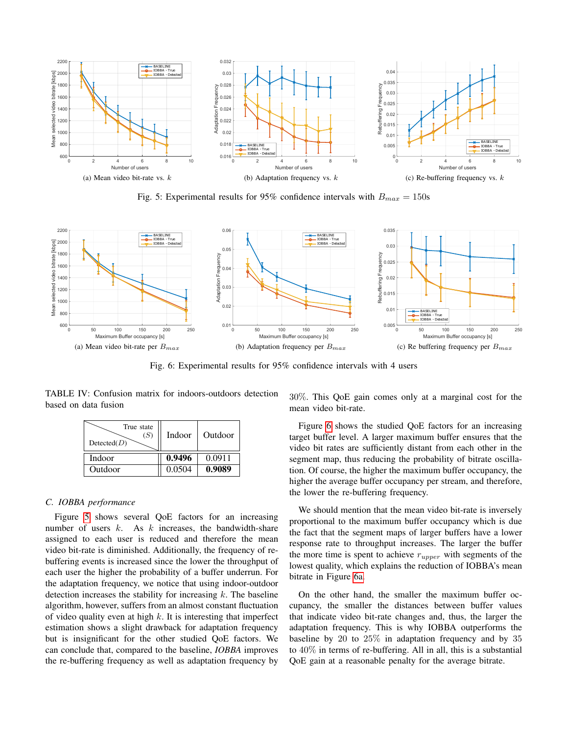<span id="page-4-1"></span>

Fig. 5: Experimental results for 95% confidence intervals with  $B_{max} = 150$ s

<span id="page-4-3"></span><span id="page-4-2"></span>

Fig. 6: Experimental results for 95% confidence intervals with 4 users

<span id="page-4-0"></span>TABLE IV: Confusion matrix for indoors-outdoors detection based on data fusion

| True state<br>(S)<br>Detected(D) | Indoor | Outdoor |
|----------------------------------|--------|---------|
| Indoor                           | 0.9496 | 0.0911  |
| Outdoor                          | 0.0504 | 0.9089  |

## *C. IOBBA performance*

Figure [5](#page-4-1) shows several QoE factors for an increasing number of users  $k$ . As  $k$  increases, the bandwidth-share assigned to each user is reduced and therefore the mean video bit-rate is diminished. Additionally, the frequency of rebuffering events is increased since the lower the throughput of each user the higher the probability of a buffer underrun. For the adaptation frequency, we notice that using indoor-outdoor detection increases the stability for increasing  $k$ . The baseline algorithm, however, suffers from an almost constant fluctuation of video quality even at high  $k$ . It is interesting that imperfect estimation shows a slight drawback for adaptation frequency but is insignificant for the other studied QoE factors. We can conclude that, compared to the baseline, *IOBBA* improves the re-buffering frequency as well as adaptation frequency by 30%. This QoE gain comes only at a marginal cost for the mean video bit-rate.

Figure [6](#page-4-2) shows the studied QoE factors for an increasing target buffer level. A larger maximum buffer ensures that the video bit rates are sufficiently distant from each other in the segment map, thus reducing the probability of bitrate oscillation. Of course, the higher the maximum buffer occupancy, the higher the average buffer occupancy per stream, and therefore, the lower the re-buffering frequency.

We should mention that the mean video bit-rate is inversely proportional to the maximum buffer occupancy which is due the fact that the segment maps of larger buffers have a lower response rate to throughput increases. The larger the buffer the more time is spent to achieve  $r_{upper}$  with segments of the lowest quality, which explains the reduction of IOBBA's mean bitrate in Figure [6a.](#page-4-3)

On the other hand, the smaller the maximum buffer occupancy, the smaller the distances between buffer values that indicate video bit-rate changes and, thus, the larger the adaptation frequency. This is why IOBBA outperforms the baseline by 20 to 25% in adaptation frequency and by 35 to 40% in terms of re-buffering. All in all, this is a substantial QoE gain at a reasonable penalty for the average bitrate.